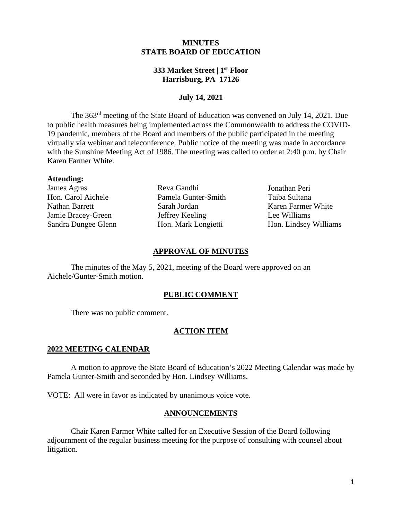## **MINUTES STATE BOARD OF EDUCATION**

## **333 Market Street | 1st Floor Harrisburg, PA 17126**

# **July 14, 2021**

The 363rd meeting of the State Board of Education was convened on July 14, 2021. Due to public health measures being implemented across the Commonwealth to address the COVID-19 pandemic, members of the Board and members of the public participated in the meeting virtually via webinar and teleconference. Public notice of the meeting was made in accordance with the Sunshine Meeting Act of 1986. The meeting was called to order at 2:40 p.m. by Chair Karen Farmer White.

#### **Attending:**

James Agras Hon. Carol Aichele Nathan Barrett Jamie Bracey-Green Sandra Dungee Glenn

Reva Gandhi Pamela Gunter-Smith Sarah Jordan Jeffrey Keeling Hon. Mark Longietti

Jonathan Peri Taiba Sultana Karen Farmer White Lee Williams Hon. Lindsey Williams

### **APPROVAL OF MINUTES**

The minutes of the May 5, 2021, meeting of the Board were approved on an Aichele/Gunter-Smith motion.

## **PUBLIC COMMENT**

There was no public comment.

## **ACTION ITEM**

#### **2022 MEETING CALENDAR**

A motion to approve the State Board of Education's 2022 Meeting Calendar was made by Pamela Gunter-Smith and seconded by Hon. Lindsey Williams.

VOTE: All were in favor as indicated by unanimous voice vote.

#### **ANNOUNCEMENTS**

Chair Karen Farmer White called for an Executive Session of the Board following adjournment of the regular business meeting for the purpose of consulting with counsel about litigation.